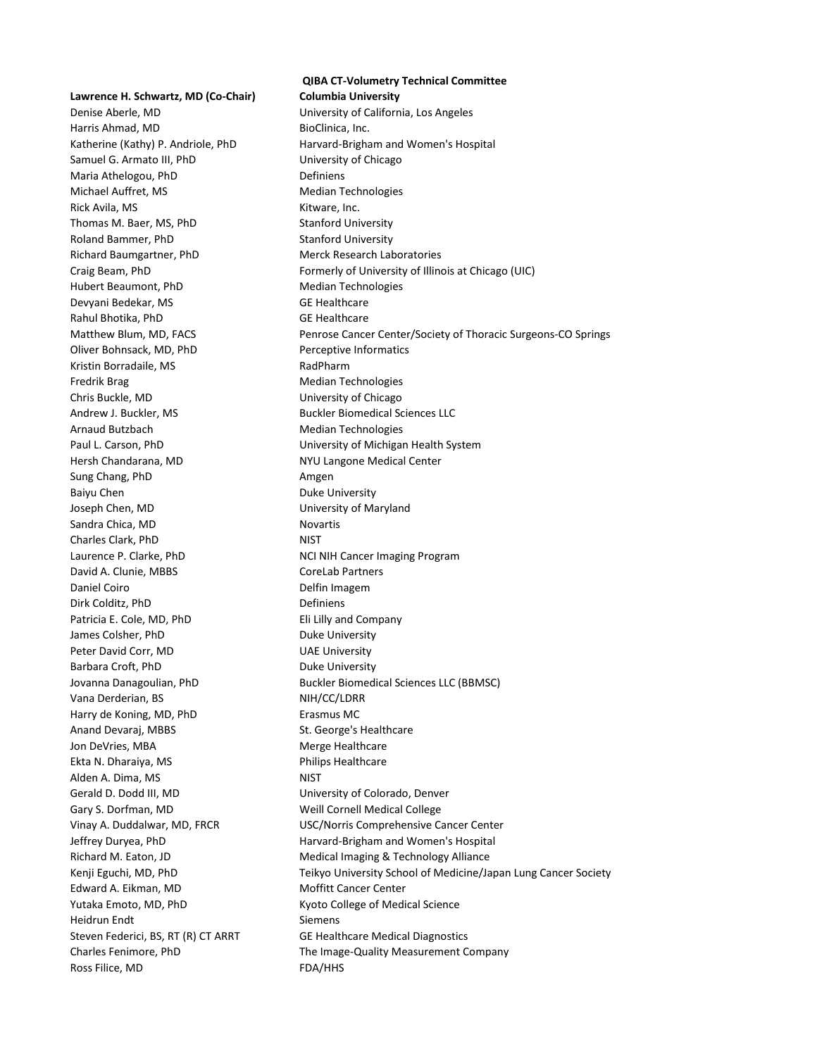**Lawrence H. Schwartz, MD (Co-Chair) Columbia University** Denise Aberle, MD University of California, Los Angeles Harris Ahmad, MD BioClinica, Inc. Samuel G. Armato III, PhD University of Chicago Maria Athelogou, PhD Definiens Michael Auffret, MS Median Technologies Rick Avila, MS **Kitware, Inc.** Kitware, Inc. Thomas M. Baer, MS, PhD Stanford University Roland Bammer, PhD Stanford University Richard Baumgartner, PhD Merck Research Laboratories Hubert Beaumont, PhD Median Technologies Devyani Bedekar, MS GE Healthcare Rahul Bhotika, PhD GE Healthcare Oliver Bohnsack, MD, PhD Perceptive Informatics Kristin Borradaile, MS<br>
RadPharm Fredrik Brag Median Technologies Chris Buckle, MD University of Chicago Andrew J. Buckler, MS Buckler Biomedical Sciences LLC Arnaud Butzbach Median Technologies Hersh Chandarana, MD NYU Langone Medical Center Sung Chang, PhD **Amgen** Baiyu Chen **Duke University** Joseph Chen, MD University of Maryland Sandra Chica, MD Novartis Charles Clark, PhD NIST Laurence P. Clarke, PhD NCI NIH Cancer Imaging Program David A. Clunie, MBBS CoreLab Partners Daniel Coiro **Delfin Imagem** Dirk Colditz, PhD Definiens Patricia E. Cole, MD, PhD Eli Lilly and Company James Colsher, PhD Duke University Peter David Corr, MD UAE University Barbara Croft, PhD Duke University Vana Derderian, BS
NIH/CC/LDRR
NIET METAL Harry de Koning, MD, PhD Erasmus MC Anand Devaraj, MBBS St. George's Healthcare Jon DeVries, MBA Merge Healthcare Ekta N. Dharaiya, MS **Philips Healthcare** Alden A. Dima, MS NIST Gerald D. Dodd III, MD University of Colorado, Denver Gary S. Dorfman, MD Weill Cornell Medical College Edward A. Eikman, MD Moffitt Cancer Center Yutaka Emoto, MD, PhD Kyoto College of Medical Science Heidrun Endt Siemens Steven Federici, BS, RT (R) CT ARRT GE Healthcare Medical Diagnostics Ross Filice, MD FDA/HHS

**QIBA CT-Volumetry Technical Committee** Katherine (Kathy) P. Andriole, PhD Harvard-Brigham and Women's Hospital Craig Beam, PhD Formerly of University of Illinois at Chicago (UIC) Matthew Blum, MD, FACS Penrose Cancer Center/Society of Thoracic Surgeons-CO Springs Paul L. Carson, PhD **East Carson**, PhD University of Michigan Health System Jovanna Danagoulian, PhD Buckler Biomedical Sciences LLC (BBMSC) Vinay A. Duddalwar, MD, FRCR USC/Norris Comprehensive Cancer Center Jeffrey Duryea, PhD Harvard-Brigham and Women's Hospital Richard M. Eaton, JD **Medical Imaging & Technology Alliance** Kenji Eguchi, MD, PhD Teikyo University School of Medicine/Japan Lung Cancer Society Charles Fenimore, PhD The Image-Quality Measurement Company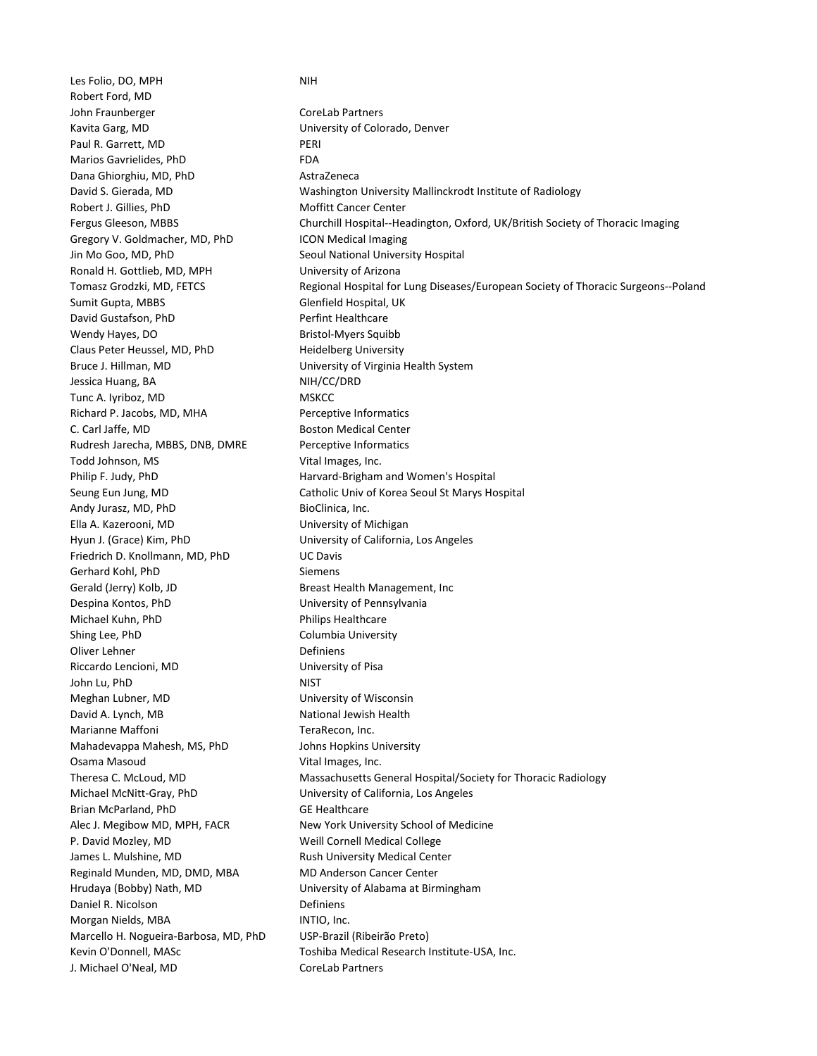Les Folio, DO, MPH NIH Robert Ford, MD John Fraunberger CoreLab Partners Kavita Garg, MD University of Colorado, Denver Paul R. Garrett, MD PERI Marios Gavrielides, PhD FDA Dana Ghiorghiu, MD, PhD AstraZeneca Robert J. Gillies, PhD Moffitt Cancer Center Gregory V. Goldmacher, MD, PhD ICON Medical Imaging Jin Mo Goo, MD, PhD Seoul National University Hospital Ronald H. Gottlieb, MD, MPH University of Arizona Sumit Gupta, MBBS Glenfield Hospital, UK David Gustafson, PhD Perfint Healthcare Wendy Hayes, DO Bristol-Myers Squibb Claus Peter Heussel, MD, PhD Heidelberg University Bruce J. Hillman, MD Sand Controller and Muniversity of Virginia Health System Jessica Huang, BA NIH/CC/DRD Tunc A. Iyriboz, MD MSKCC Richard P. Jacobs, MD, MHA Perceptive Informatics C. Carl Jaffe, MD Boston Medical Center Rudresh Jarecha, MBBS, DNB, DMRE Perceptive Informatics Todd Johnson, MS Vital Images, Inc. Andy Jurasz, MD, PhD BioClinica, Inc. Ella A. Kazerooni, MD University of Michigan Hyun J. (Grace) Kim, PhD **Easing the Contract Contract Contract** University of California, Los Angeles Friedrich D. Knollmann, MD, PhD UC Davis Gerhard Kohl, PhD Siemens Gerald (Jerry) Kolb, JD Breast Health Management, Inc Despina Kontos, PhD University of Pennsylvania Michael Kuhn, PhD **Philips Healthcare** Shing Lee, PhD Columbia University Oliver Lehner **Definiens** Riccardo Lencioni, MD University of Pisa John Lu, PhD NIST Meghan Lubner, MD University of Wisconsin David A. Lynch, MB National Jewish Health Marianne Maffoni **TeraRecon**, Inc. Mahadevappa Mahesh, MS, PhD Johns Hopkins University Osama Masoud **Vital Images, Inc.** Michael McNitt-Gray, PhD University of California, Los Angeles Brian McParland, PhD GE Healthcare P. David Mozley, MD Weill Cornell Medical College James L. Mulshine, MD **Rush University Medical Center** Reginald Munden, MD, DMD, MBA MD Anderson Cancer Center Hrudaya (Bobby) Nath, MD University of Alabama at Birmingham Daniel R. Nicolson **Definiens** Morgan Nields, MBA **INTIO**, Inc. Marcello H. Nogueira-Barbosa, MD, PhD USP-Brazil (Ribeirão Preto) J. Michael O'Neal, MD CoreLab Partners

David S. Gierada, MD Washington University Mallinckrodt Institute of Radiology Fergus Gleeson, MBBS Churchill Hospital--Headington, Oxford, UK/British Society of Thoracic Imaging Tomasz Grodzki, MD, FETCS Regional Hospital for Lung Diseases/European Society of Thoracic Surgeons--Poland Philip F. Judy, PhD **Harvard-Brigham and Women's Hospital** Seung Eun Jung, MD Catholic Univ of Korea Seoul St Marys Hospital Theresa C. McLoud, MD Massachusetts General Hospital/Society for Thoracic Radiology Alec J. Megibow MD, MPH, FACR New York University School of Medicine Kevin O'Donnell, MASc **Toshiba Medical Research Institute-USA**, Inc.